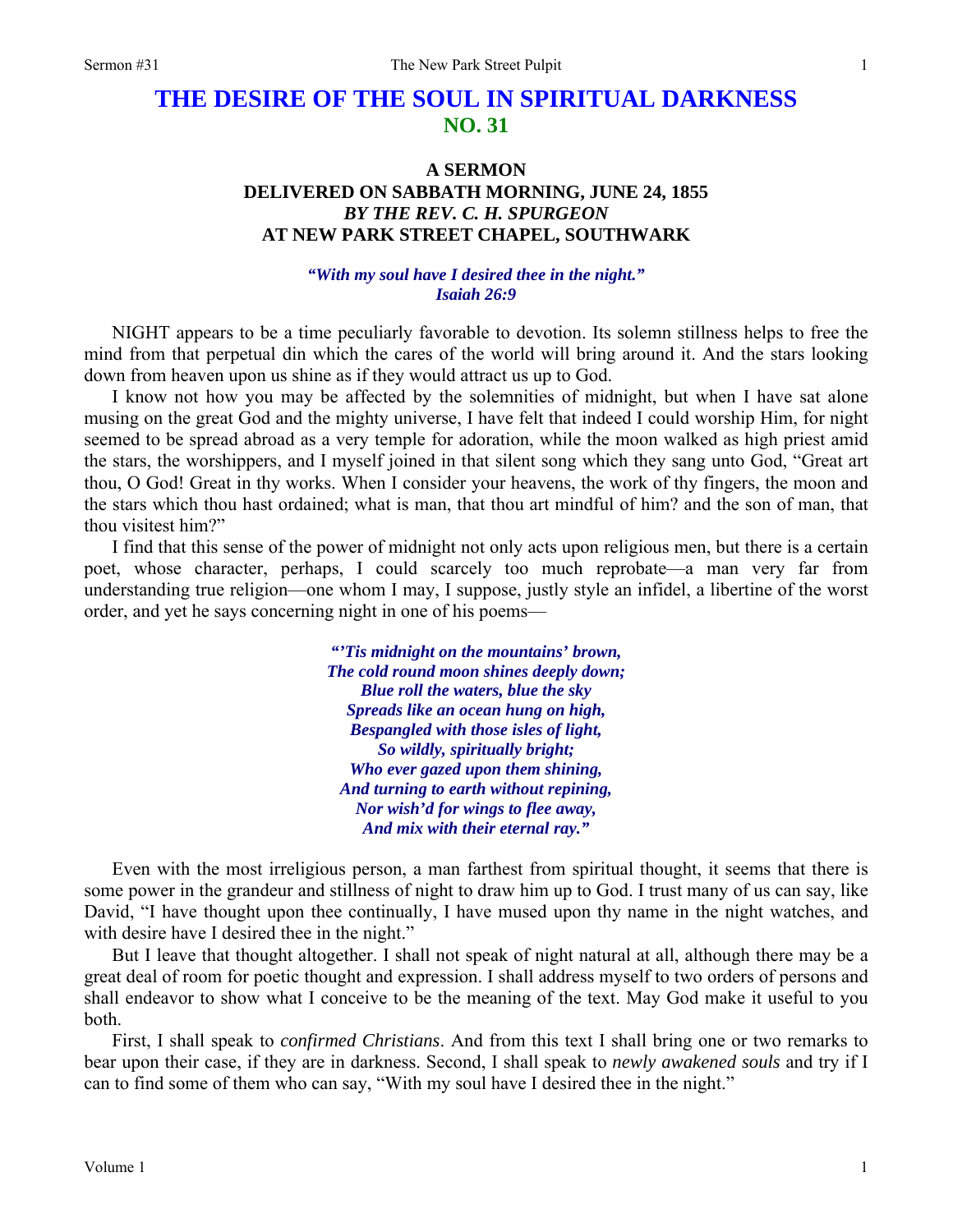# **THE DESIRE OF THE SOUL IN SPIRITUAL DARKNESS NO. 31**

## **A SERMON DELIVERED ON SABBATH MORNING, JUNE 24, 1855**  *BY THE REV. C. H. SPURGEON*  **AT NEW PARK STREET CHAPEL, SOUTHWARK**

### *"With my soul have I desired thee in the night." Isaiah 26:9*

NIGHT appears to be a time peculiarly favorable to devotion. Its solemn stillness helps to free the mind from that perpetual din which the cares of the world will bring around it. And the stars looking down from heaven upon us shine as if they would attract us up to God.

I know not how you may be affected by the solemnities of midnight, but when I have sat alone musing on the great God and the mighty universe, I have felt that indeed I could worship Him, for night seemed to be spread abroad as a very temple for adoration, while the moon walked as high priest amid the stars, the worshippers, and I myself joined in that silent song which they sang unto God, "Great art thou, O God! Great in thy works. When I consider your heavens, the work of thy fingers, the moon and the stars which thou hast ordained; what is man, that thou art mindful of him? and the son of man, that thou visitest him?"

I find that this sense of the power of midnight not only acts upon religious men, but there is a certain poet, whose character, perhaps, I could scarcely too much reprobate—a man very far from understanding true religion—one whom I may, I suppose, justly style an infidel, a libertine of the worst order, and yet he says concerning night in one of his poems—

> *"'Tis midnight on the mountains' brown, The cold round moon shines deeply down; Blue roll the waters, blue the sky Spreads like an ocean hung on high, Bespangled with those isles of light, So wildly, spiritually bright; Who ever gazed upon them shining, And turning to earth without repining, Nor wish'd for wings to flee away, And mix with their eternal ray."*

Even with the most irreligious person, a man farthest from spiritual thought, it seems that there is some power in the grandeur and stillness of night to draw him up to God. I trust many of us can say, like David, "I have thought upon thee continually, I have mused upon thy name in the night watches, and with desire have I desired thee in the night."

But I leave that thought altogether. I shall not speak of night natural at all, although there may be a great deal of room for poetic thought and expression. I shall address myself to two orders of persons and shall endeavor to show what I conceive to be the meaning of the text. May God make it useful to you both.

First, I shall speak to *confirmed Christians*. And from this text I shall bring one or two remarks to bear upon their case, if they are in darkness. Second, I shall speak to *newly awakened souls* and try if I can to find some of them who can say, "With my soul have I desired thee in the night."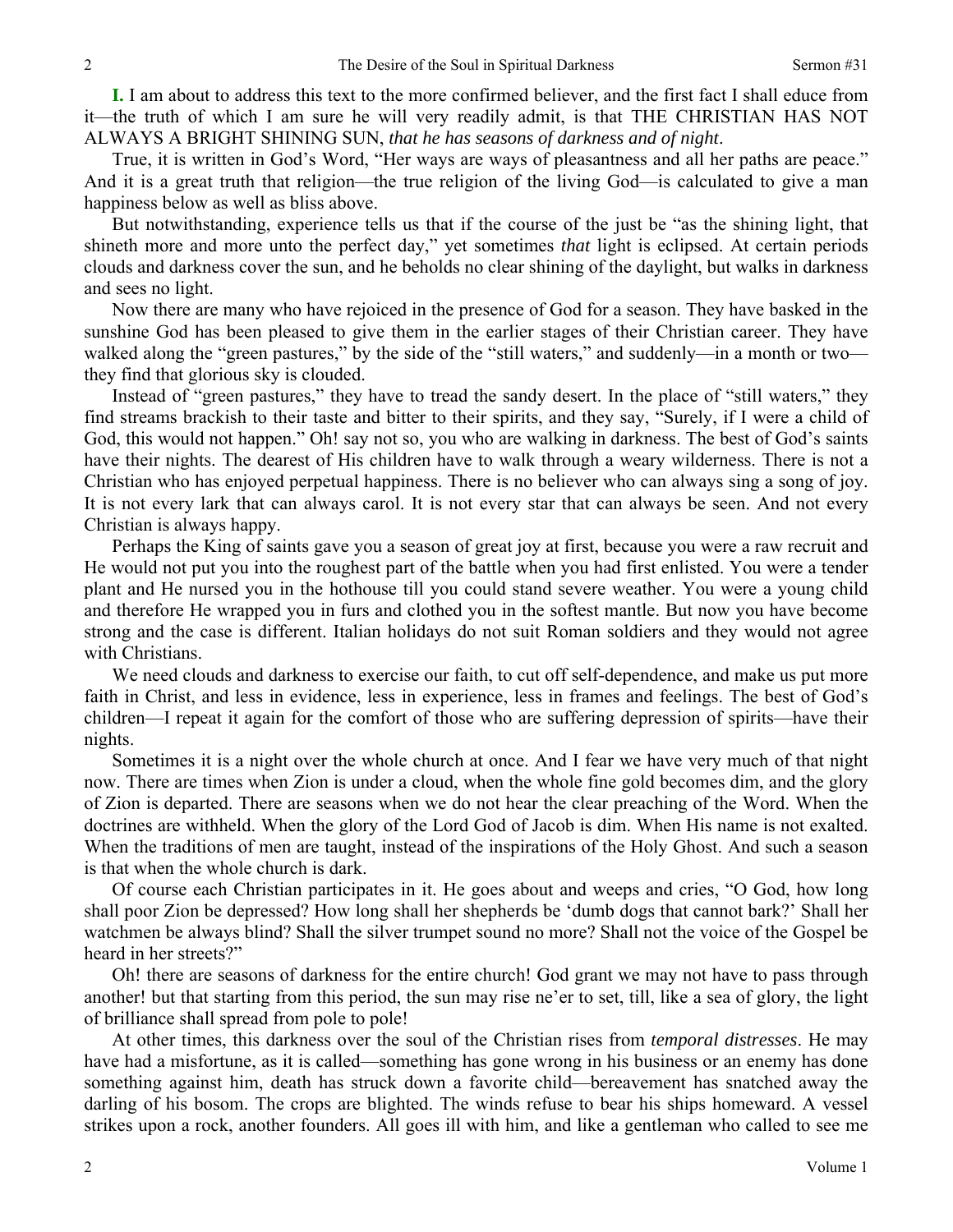**I.** I am about to address this text to the more confirmed believer, and the first fact I shall educe from it—the truth of which I am sure he will very readily admit, is that THE CHRISTIAN HAS NOT ALWAYS A BRIGHT SHINING SUN, *that he has seasons of darkness and of night*.

True, it is written in God's Word, "Her ways are ways of pleasantness and all her paths are peace." And it is a great truth that religion—the true religion of the living God—is calculated to give a man happiness below as well as bliss above.

But notwithstanding, experience tells us that if the course of the just be "as the shining light, that shineth more and more unto the perfect day," yet sometimes *that* light is eclipsed. At certain periods clouds and darkness cover the sun, and he beholds no clear shining of the daylight, but walks in darkness and sees no light.

Now there are many who have rejoiced in the presence of God for a season. They have basked in the sunshine God has been pleased to give them in the earlier stages of their Christian career. They have walked along the "green pastures," by the side of the "still waters," and suddenly—in a month or two they find that glorious sky is clouded.

Instead of "green pastures," they have to tread the sandy desert. In the place of "still waters," they find streams brackish to their taste and bitter to their spirits, and they say, "Surely, if I were a child of God, this would not happen." Oh! say not so, you who are walking in darkness. The best of God's saints have their nights. The dearest of His children have to walk through a weary wilderness. There is not a Christian who has enjoyed perpetual happiness. There is no believer who can always sing a song of joy. It is not every lark that can always carol. It is not every star that can always be seen. And not every Christian is always happy.

Perhaps the King of saints gave you a season of great joy at first, because you were a raw recruit and He would not put you into the roughest part of the battle when you had first enlisted. You were a tender plant and He nursed you in the hothouse till you could stand severe weather. You were a young child and therefore He wrapped you in furs and clothed you in the softest mantle. But now you have become strong and the case is different. Italian holidays do not suit Roman soldiers and they would not agree with Christians.

We need clouds and darkness to exercise our faith, to cut off self-dependence, and make us put more faith in Christ, and less in evidence, less in experience, less in frames and feelings. The best of God's children—I repeat it again for the comfort of those who are suffering depression of spirits—have their nights.

Sometimes it is a night over the whole church at once. And I fear we have very much of that night now. There are times when Zion is under a cloud, when the whole fine gold becomes dim, and the glory of Zion is departed. There are seasons when we do not hear the clear preaching of the Word. When the doctrines are withheld. When the glory of the Lord God of Jacob is dim. When His name is not exalted. When the traditions of men are taught, instead of the inspirations of the Holy Ghost. And such a season is that when the whole church is dark.

Of course each Christian participates in it. He goes about and weeps and cries, "O God, how long shall poor Zion be depressed? How long shall her shepherds be 'dumb dogs that cannot bark?' Shall her watchmen be always blind? Shall the silver trumpet sound no more? Shall not the voice of the Gospel be heard in her streets?"

Oh! there are seasons of darkness for the entire church! God grant we may not have to pass through another! but that starting from this period, the sun may rise ne'er to set, till, like a sea of glory, the light of brilliance shall spread from pole to pole!

At other times, this darkness over the soul of the Christian rises from *temporal distresses*. He may have had a misfortune, as it is called—something has gone wrong in his business or an enemy has done something against him, death has struck down a favorite child—bereavement has snatched away the darling of his bosom. The crops are blighted. The winds refuse to bear his ships homeward. A vessel strikes upon a rock, another founders. All goes ill with him, and like a gentleman who called to see me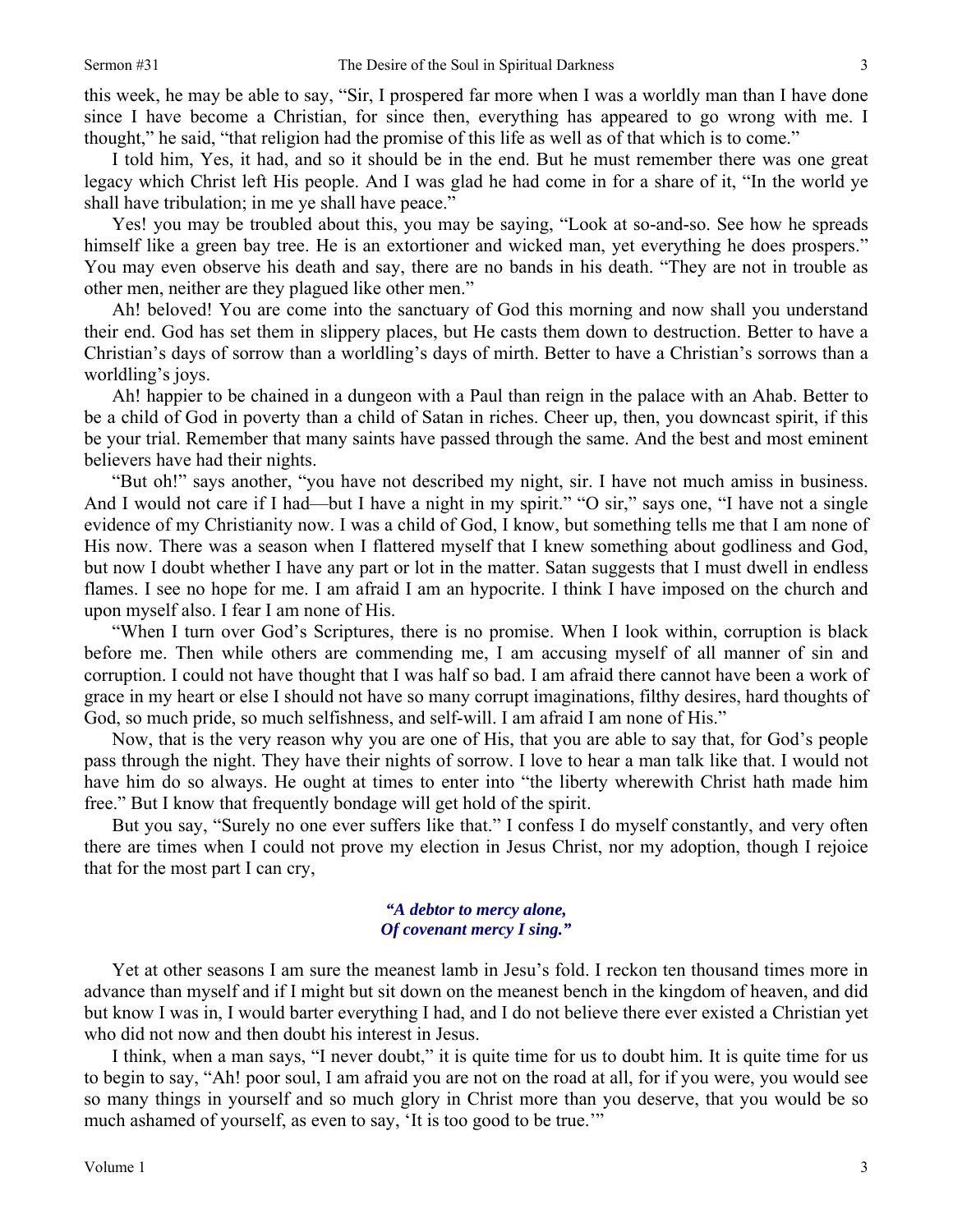3

this week, he may be able to say, "Sir, I prospered far more when I was a worldly man than I have done since I have become a Christian, for since then, everything has appeared to go wrong with me. I thought," he said, "that religion had the promise of this life as well as of that which is to come."

I told him, Yes, it had, and so it should be in the end. But he must remember there was one great legacy which Christ left His people. And I was glad he had come in for a share of it, "In the world ye shall have tribulation; in me ye shall have peace."

Yes! you may be troubled about this, you may be saying, "Look at so-and-so. See how he spreads himself like a green bay tree. He is an extortioner and wicked man, yet everything he does prospers." You may even observe his death and say, there are no bands in his death. "They are not in trouble as other men, neither are they plagued like other men."

Ah! beloved! You are come into the sanctuary of God this morning and now shall you understand their end. God has set them in slippery places, but He casts them down to destruction. Better to have a Christian's days of sorrow than a worldling's days of mirth. Better to have a Christian's sorrows than a worldling's joys.

Ah! happier to be chained in a dungeon with a Paul than reign in the palace with an Ahab. Better to be a child of God in poverty than a child of Satan in riches. Cheer up, then, you downcast spirit, if this be your trial. Remember that many saints have passed through the same. And the best and most eminent believers have had their nights.

"But oh!" says another, "you have not described my night, sir. I have not much amiss in business. And I would not care if I had—but I have a night in my spirit." "O sir," says one, "I have not a single evidence of my Christianity now. I was a child of God, I know, but something tells me that I am none of His now. There was a season when I flattered myself that I knew something about godliness and God, but now I doubt whether I have any part or lot in the matter. Satan suggests that I must dwell in endless flames. I see no hope for me. I am afraid I am an hypocrite. I think I have imposed on the church and upon myself also. I fear I am none of His.

"When I turn over God's Scriptures, there is no promise. When I look within, corruption is black before me. Then while others are commending me, I am accusing myself of all manner of sin and corruption. I could not have thought that I was half so bad. I am afraid there cannot have been a work of grace in my heart or else I should not have so many corrupt imaginations, filthy desires, hard thoughts of God, so much pride, so much selfishness, and self-will. I am afraid I am none of His."

Now, that is the very reason why you are one of His, that you are able to say that, for God's people pass through the night. They have their nights of sorrow. I love to hear a man talk like that. I would not have him do so always. He ought at times to enter into "the liberty wherewith Christ hath made him free." But I know that frequently bondage will get hold of the spirit.

But you say, "Surely no one ever suffers like that." I confess I do myself constantly, and very often there are times when I could not prove my election in Jesus Christ, nor my adoption, though I rejoice that for the most part I can cry,

### *"A debtor to mercy alone, Of covenant mercy I sing."*

Yet at other seasons I am sure the meanest lamb in Jesu's fold. I reckon ten thousand times more in advance than myself and if I might but sit down on the meanest bench in the kingdom of heaven, and did but know I was in, I would barter everything I had, and I do not believe there ever existed a Christian yet who did not now and then doubt his interest in Jesus.

I think, when a man says, "I never doubt," it is quite time for us to doubt him*.* It is quite time for us to begin to say, "Ah! poor soul, I am afraid you are not on the road at all, for if you were, you would see so many things in yourself and so much glory in Christ more than you deserve, that you would be so much ashamed of yourself, as even to say, 'It is too good to be true.'"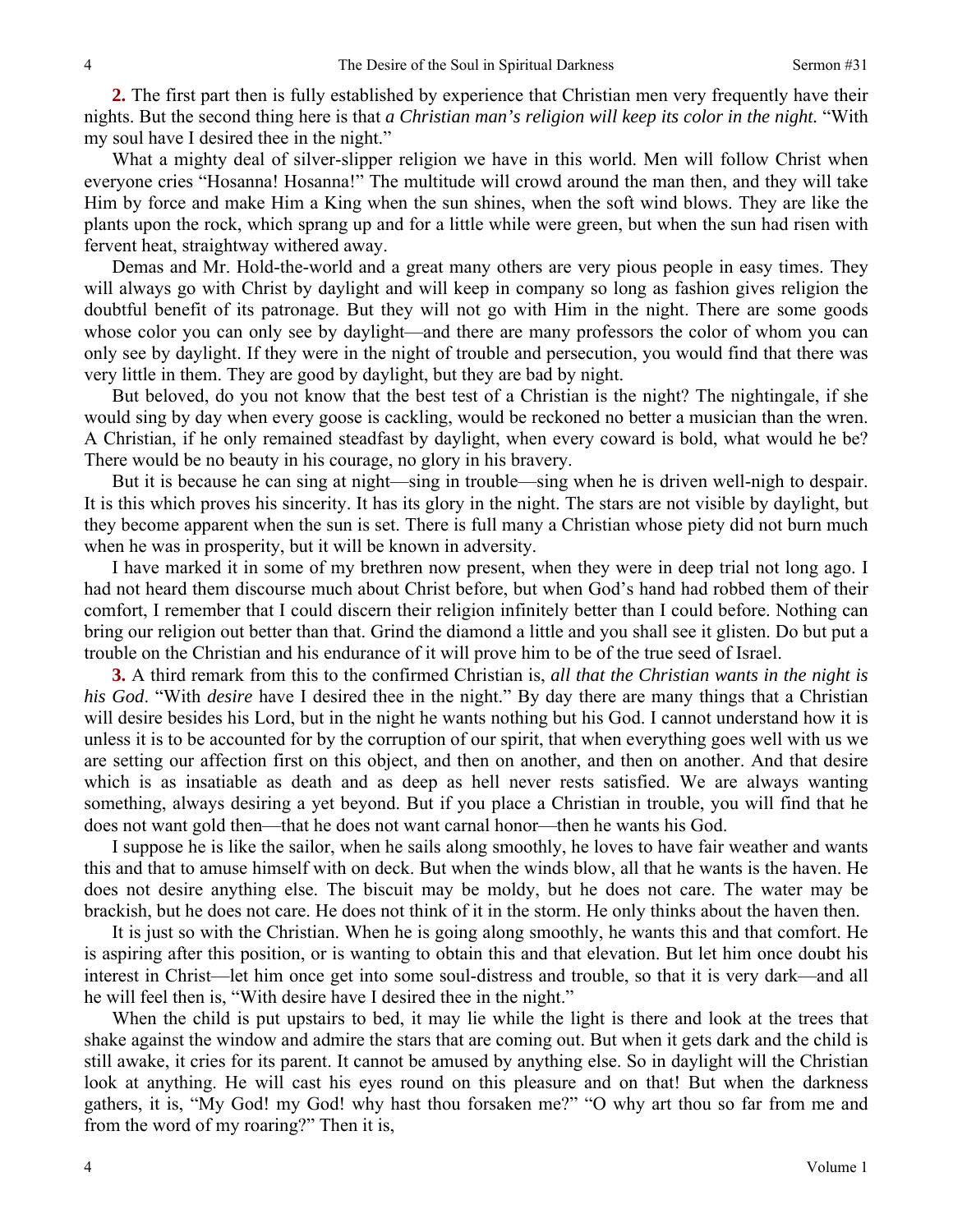**2.** The first part then is fully established by experience that Christian men very frequently have their nights. But the second thing here is that *a Christian man's religion will keep its color in the night.* "With my soul have I desired thee in the night."

What a mighty deal of silver-slipper religion we have in this world. Men will follow Christ when everyone cries "Hosanna! Hosanna!" The multitude will crowd around the man then, and they will take Him by force and make Him a King when the sun shines, when the soft wind blows. They are like the plants upon the rock, which sprang up and for a little while were green, but when the sun had risen with fervent heat, straightway withered away.

Demas and Mr. Hold-the-world and a great many others are very pious people in easy times. They will always go with Christ by daylight and will keep in company so long as fashion gives religion the doubtful benefit of its patronage. But they will not go with Him in the night. There are some goods whose color you can only see by daylight—and there are many professors the color of whom you can only see by daylight. If they were in the night of trouble and persecution, you would find that there was very little in them. They are good by daylight, but they are bad by night.

But beloved, do you not know that the best test of a Christian is the night? The nightingale, if she would sing by day when every goose is cackling, would be reckoned no better a musician than the wren. A Christian, if he only remained steadfast by daylight, when every coward is bold, what would he be? There would be no beauty in his courage, no glory in his bravery.

But it is because he can sing at night—sing in trouble—sing when he is driven well-nigh to despair. It is this which proves his sincerity. It has its glory in the night. The stars are not visible by daylight, but they become apparent when the sun is set. There is full many a Christian whose piety did not burn much when he was in prosperity, but it will be known in adversity.

I have marked it in some of my brethren now present, when they were in deep trial not long ago. I had not heard them discourse much about Christ before, but when God's hand had robbed them of their comfort, I remember that I could discern their religion infinitely better than I could before. Nothing can bring our religion out better than that. Grind the diamond a little and you shall see it glisten. Do but put a trouble on the Christian and his endurance of it will prove him to be of the true seed of Israel.

**3.** A third remark from this to the confirmed Christian is, *all that the Christian wants in the night is his God*. "With *desire* have I desired thee in the night." By day there are many things that a Christian will desire besides his Lord, but in the night he wants nothing but his God. I cannot understand how it is unless it is to be accounted for by the corruption of our spirit, that when everything goes well with us we are setting our affection first on this object, and then on another, and then on another. And that desire which is as insatiable as death and as deep as hell never rests satisfied. We are always wanting something, always desiring a yet beyond. But if you place a Christian in trouble, you will find that he does not want gold then—that he does not want carnal honor—then he wants his God.

I suppose he is like the sailor, when he sails along smoothly, he loves to have fair weather and wants this and that to amuse himself with on deck. But when the winds blow, all that he wants is the haven. He does not desire anything else. The biscuit may be moldy, but he does not care. The water may be brackish, but he does not care. He does not think of it in the storm. He only thinks about the haven then.

It is just so with the Christian. When he is going along smoothly, he wants this and that comfort. He is aspiring after this position, or is wanting to obtain this and that elevation. But let him once doubt his interest in Christ—let him once get into some soul-distress and trouble, so that it is very dark—and all he will feel then is, "With desire have I desired thee in the night."

When the child is put upstairs to bed, it may lie while the light is there and look at the trees that shake against the window and admire the stars that are coming out. But when it gets dark and the child is still awake, it cries for its parent. It cannot be amused by anything else. So in daylight will the Christian look at anything. He will cast his eyes round on this pleasure and on that! But when the darkness gathers, it is, "My God! my God! why hast thou forsaken me?" "O why art thou so far from me and from the word of my roaring?" Then it is,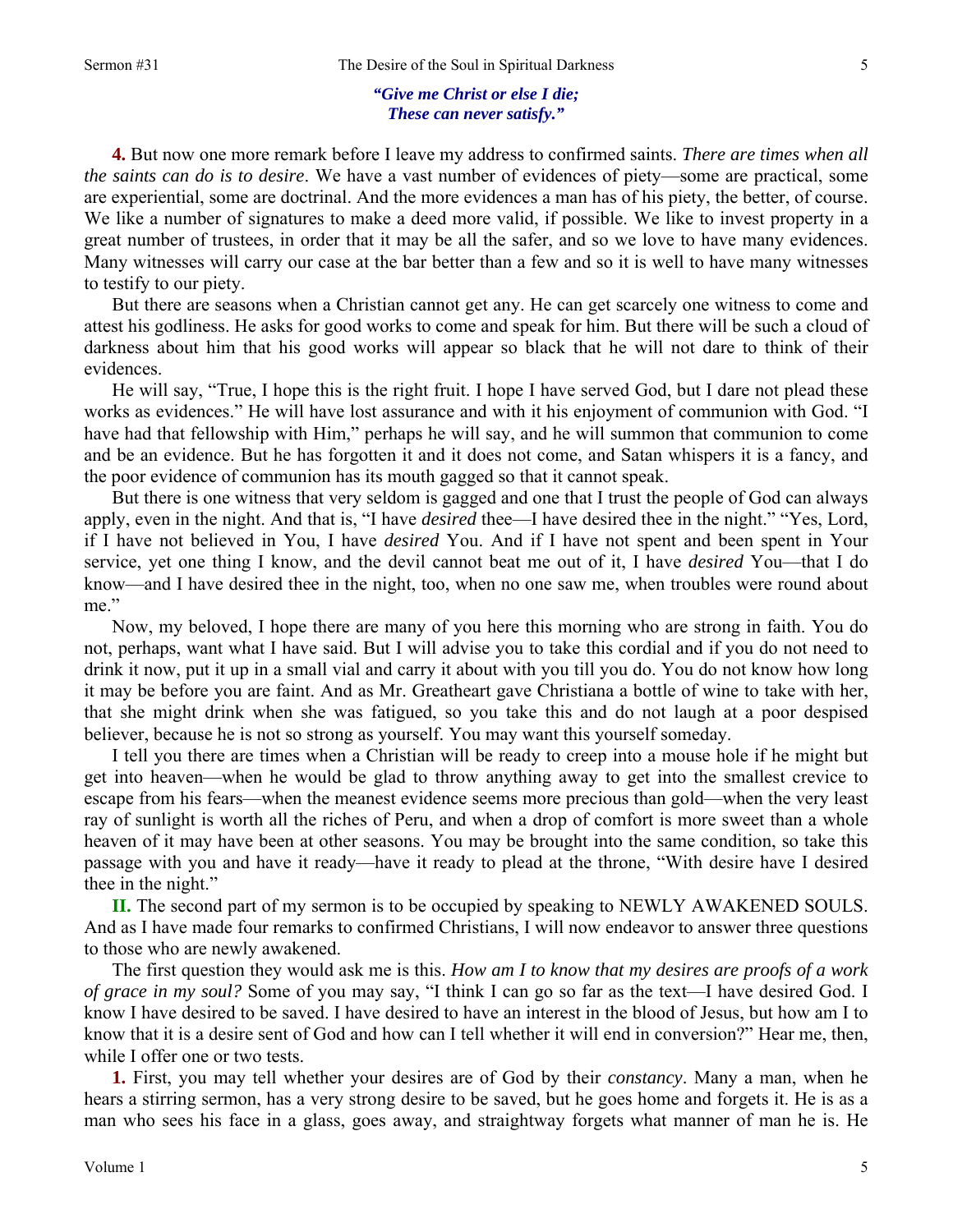### 5

### *"Give me Christ or else I die; These can never satisfy."*

**4.** But now one more remark before I leave my address to confirmed saints. *There are times when all the saints can do is to desire*. We have a vast number of evidences of piety—some are practical, some are experiential, some are doctrinal. And the more evidences a man has of his piety, the better, of course. We like a number of signatures to make a deed more valid, if possible. We like to invest property in a great number of trustees, in order that it may be all the safer, and so we love to have many evidences. Many witnesses will carry our case at the bar better than a few and so it is well to have many witnesses to testify to our piety.

But there are seasons when a Christian cannot get any. He can get scarcely one witness to come and attest his godliness. He asks for good works to come and speak for him. But there will be such a cloud of darkness about him that his good works will appear so black that he will not dare to think of their evidences.

He will say, "True, I hope this is the right fruit. I hope I have served God, but I dare not plead these works as evidences." He will have lost assurance and with it his enjoyment of communion with God. "I have had that fellowship with Him," perhaps he will say, and he will summon that communion to come and be an evidence. But he has forgotten it and it does not come, and Satan whispers it is a fancy, and the poor evidence of communion has its mouth gagged so that it cannot speak.

But there is one witness that very seldom is gagged and one that I trust the people of God can always apply, even in the night. And that is, "I have *desired* thee—I have desired thee in the night." "Yes, Lord, if I have not believed in You, I have *desired* You. And if I have not spent and been spent in Your service, yet one thing I know, and the devil cannot beat me out of it, I have *desired* You—that I do know—and I have desired thee in the night, too, when no one saw me, when troubles were round about me."

Now, my beloved, I hope there are many of you here this morning who are strong in faith. You do not, perhaps, want what I have said. But I will advise you to take this cordial and if you do not need to drink it now, put it up in a small vial and carry it about with you till you do. You do not know how long it may be before you are faint. And as Mr. Greatheart gave Christiana a bottle of wine to take with her, that she might drink when she was fatigued, so you take this and do not laugh at a poor despised believer, because he is not so strong as yourself. You may want this yourself someday.

I tell you there are times when a Christian will be ready to creep into a mouse hole if he might but get into heaven—when he would be glad to throw anything away to get into the smallest crevice to escape from his fears—when the meanest evidence seems more precious than gold—when the very least ray of sunlight is worth all the riches of Peru, and when a drop of comfort is more sweet than a whole heaven of it may have been at other seasons. You may be brought into the same condition, so take this passage with you and have it ready—have it ready to plead at the throne, "With desire have I desired thee in the night."

**II.** The second part of my sermon is to be occupied by speaking to NEWLY AWAKENED SOULS. And as I have made four remarks to confirmed Christians, I will now endeavor to answer three questions to those who are newly awakened.

The first question they would ask me is this. *How am I to know that my desires are proofs of a work of grace in my soul?* Some of you may say, "I think I can go so far as the text—I have desired God. I know I have desired to be saved. I have desired to have an interest in the blood of Jesus, but how am I to know that it is a desire sent of God and how can I tell whether it will end in conversion?" Hear me, then, while I offer one or two tests.

**1.** First, you may tell whether your desires are of God by their *constancy*. Many a man, when he hears a stirring sermon, has a very strong desire to be saved, but he goes home and forgets it. He is as a man who sees his face in a glass, goes away, and straightway forgets what manner of man he is. He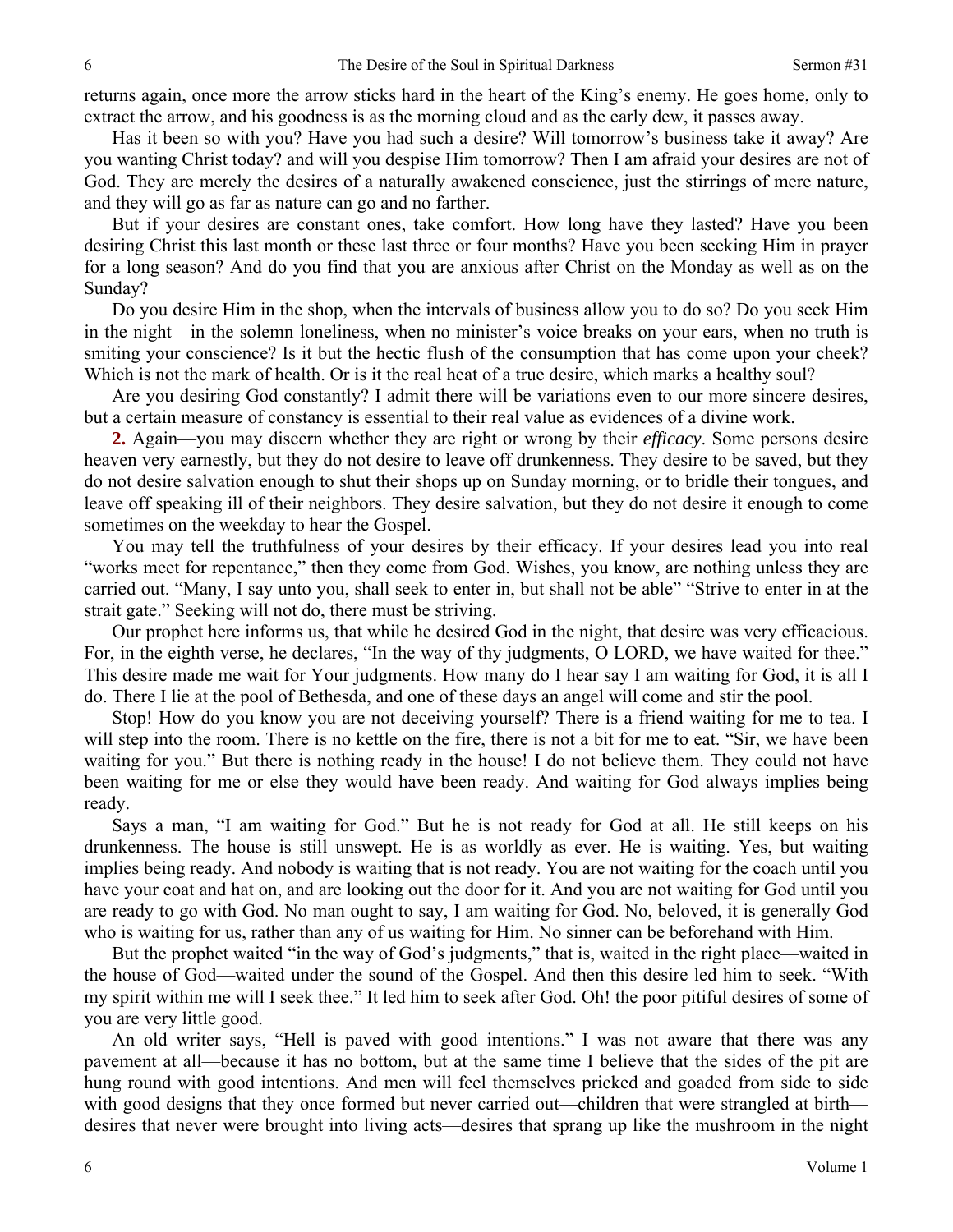returns again, once more the arrow sticks hard in the heart of the King's enemy. He goes home, only to extract the arrow, and his goodness is as the morning cloud and as the early dew, it passes away.

Has it been so with you? Have you had such a desire? Will tomorrow's business take it away? Are you wanting Christ today? and will you despise Him tomorrow? Then I am afraid your desires are not of God. They are merely the desires of a naturally awakened conscience, just the stirrings of mere nature, and they will go as far as nature can go and no farther.

But if your desires are constant ones, take comfort. How long have they lasted? Have you been desiring Christ this last month or these last three or four months? Have you been seeking Him in prayer for a long season? And do you find that you are anxious after Christ on the Monday as well as on the Sunday?

Do you desire Him in the shop, when the intervals of business allow you to do so? Do you seek Him in the night—in the solemn loneliness, when no minister's voice breaks on your ears, when no truth is smiting your conscience? Is it but the hectic flush of the consumption that has come upon your cheek? Which is not the mark of health. Or is it the real heat of a true desire, which marks a healthy soul?

Are you desiring God constantly? I admit there will be variations even to our more sincere desires, but a certain measure of constancy is essential to their real value as evidences of a divine work.

**2.** Again—you may discern whether they are right or wrong by their *efficacy*. Some persons desire heaven very earnestly, but they do not desire to leave off drunkenness. They desire to be saved, but they do not desire salvation enough to shut their shops up on Sunday morning, or to bridle their tongues, and leave off speaking ill of their neighbors. They desire salvation, but they do not desire it enough to come sometimes on the weekday to hear the Gospel.

You may tell the truthfulness of your desires by their efficacy. If your desires lead you into real "works meet for repentance," then they come from God. Wishes, you know, are nothing unless they are carried out. "Many, I say unto you, shall seek to enter in, but shall not be able" "Strive to enter in at the strait gate." Seeking will not do, there must be striving.

Our prophet here informs us, that while he desired God in the night, that desire was very efficacious. For, in the eighth verse, he declares, "In the way of thy judgments, O LORD, we have waited for thee." This desire made me wait for Your judgments. How many do I hear say I am waiting for God, it is all I do. There I lie at the pool of Bethesda, and one of these days an angel will come and stir the pool.

Stop! How do you know you are not deceiving yourself? There is a friend waiting for me to tea. I will step into the room. There is no kettle on the fire, there is not a bit for me to eat. "Sir, we have been waiting for you." But there is nothing ready in the house! I do not believe them. They could not have been waiting for me or else they would have been ready. And waiting for God always implies being ready.

Says a man, "I am waiting for God." But he is not ready for God at all. He still keeps on his drunkenness. The house is still unswept. He is as worldly as ever. He is waiting. Yes, but waiting implies being ready. And nobody is waiting that is not ready. You are not waiting for the coach until you have your coat and hat on, and are looking out the door for it. And you are not waiting for God until you are ready to go with God. No man ought to say, I am waiting for God. No, beloved, it is generally God who is waiting for us, rather than any of us waiting for Him. No sinner can be beforehand with Him.

But the prophet waited "in the way of God's judgments," that is, waited in the right place—waited in the house of God—waited under the sound of the Gospel. And then this desire led him to seek. "With my spirit within me will I seek thee." It led him to seek after God. Oh! the poor pitiful desires of some of you are very little good.

An old writer says, "Hell is paved with good intentions." I was not aware that there was any pavement at all—because it has no bottom, but at the same time I believe that the sides of the pit are hung round with good intentions. And men will feel themselves pricked and goaded from side to side with good designs that they once formed but never carried out—children that were strangled at birth desires that never were brought into living acts—desires that sprang up like the mushroom in the night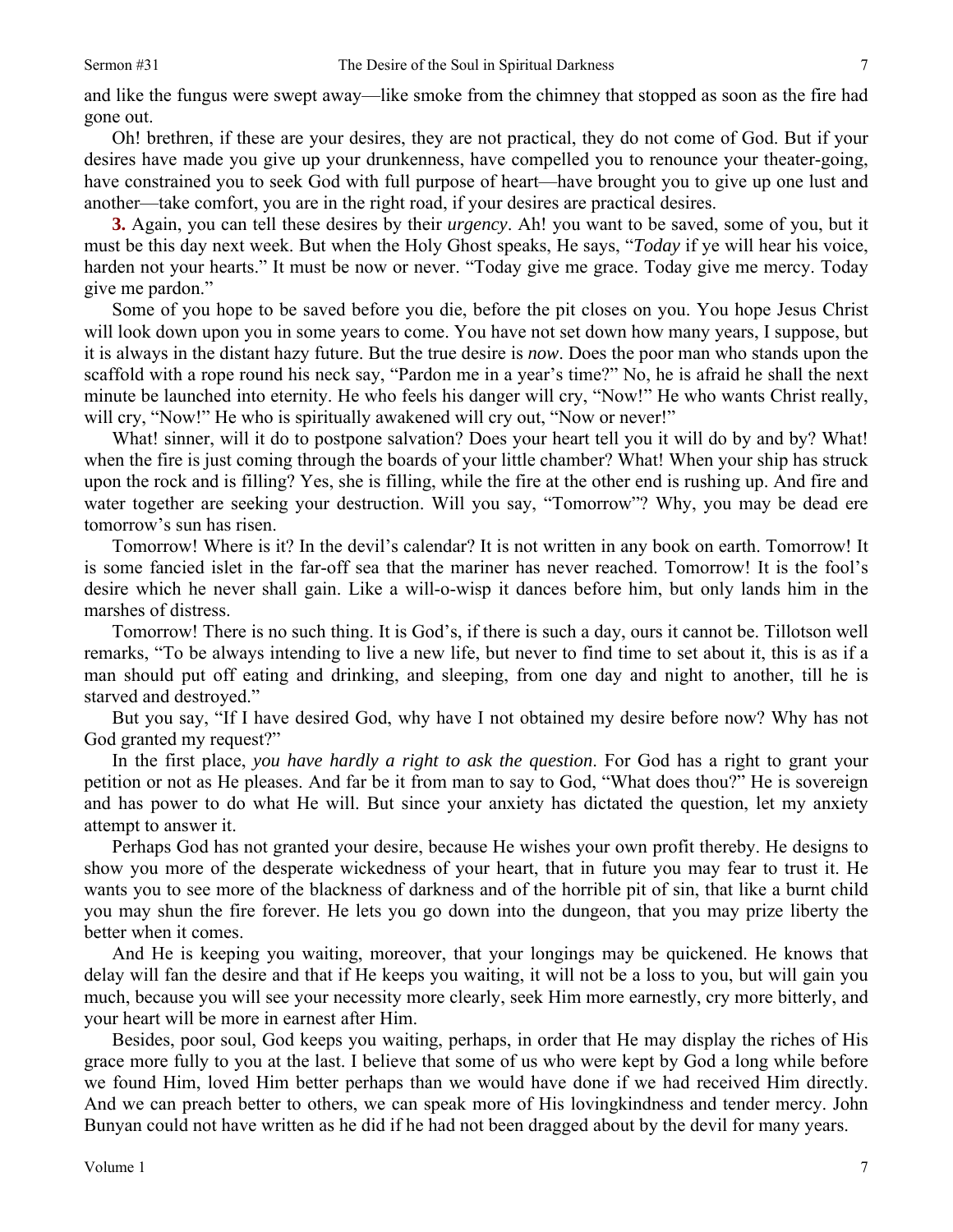and like the fungus were swept away—like smoke from the chimney that stopped as soon as the fire had gone out.

Oh! brethren, if these are your desires, they are not practical, they do not come of God. But if your desires have made you give up your drunkenness, have compelled you to renounce your theater-going, have constrained you to seek God with full purpose of heart—have brought you to give up one lust and another—take comfort, you are in the right road, if your desires are practical desires.

**3.** Again, you can tell these desires by their *urgency*. Ah! you want to be saved, some of you, but it must be this day next week. But when the Holy Ghost speaks, He says, "*Today* if ye will hear his voice, harden not your hearts." It must be now or never. "Today give me grace. Today give me mercy. Today give me pardon."

Some of you hope to be saved before you die, before the pit closes on you. You hope Jesus Christ will look down upon you in some years to come. You have not set down how many years, I suppose, but it is always in the distant hazy future. But the true desire is *now*. Does the poor man who stands upon the scaffold with a rope round his neck say, "Pardon me in a year's time?" No, he is afraid he shall the next minute be launched into eternity. He who feels his danger will cry, "Now!" He who wants Christ really, will cry, "Now!" He who is spiritually awakened will cry out, "Now or never!"

What! sinner, will it do to postpone salvation? Does your heart tell you it will do by and by? What! when the fire is just coming through the boards of your little chamber? What! When your ship has struck upon the rock and is filling? Yes, she is filling, while the fire at the other end is rushing up. And fire and water together are seeking your destruction. Will you say, "Tomorrow"? Why, you may be dead ere tomorrow's sun has risen.

Tomorrow! Where is it? In the devil's calendar? It is not written in any book on earth. Tomorrow! It is some fancied islet in the far-off sea that the mariner has never reached. Tomorrow! It is the fool's desire which he never shall gain. Like a will-o-wisp it dances before him, but only lands him in the marshes of distress.

Tomorrow! There is no such thing. It is God's, if there is such a day, ours it cannot be. Tillotson well remarks, "To be always intending to live a new life, but never to find time to set about it, this is as if a man should put off eating and drinking, and sleeping, from one day and night to another, till he is starved and destroyed."

But you say, "If I have desired God, why have I not obtained my desire before now? Why has not God granted my request?"

In the first place, *you have hardly a right to ask the question*. For God has a right to grant your petition or not as He pleases. And far be it from man to say to God, "What does thou?" He is sovereign and has power to do what He will. But since your anxiety has dictated the question, let my anxiety attempt to answer it.

Perhaps God has not granted your desire, because He wishes your own profit thereby. He designs to show you more of the desperate wickedness of your heart, that in future you may fear to trust it. He wants you to see more of the blackness of darkness and of the horrible pit of sin, that like a burnt child you may shun the fire forever. He lets you go down into the dungeon, that you may prize liberty the better when it comes.

And He is keeping you waiting, moreover, that your longings may be quickened. He knows that delay will fan the desire and that if He keeps you waiting, it will not be a loss to you, but will gain you much, because you will see your necessity more clearly, seek Him more earnestly, cry more bitterly, and your heart will be more in earnest after Him.

Besides, poor soul, God keeps you waiting, perhaps, in order that He may display the riches of His grace more fully to you at the last. I believe that some of us who were kept by God a long while before we found Him, loved Him better perhaps than we would have done if we had received Him directly. And we can preach better to others, we can speak more of His lovingkindness and tender mercy. John Bunyan could not have written as he did if he had not been dragged about by the devil for many years.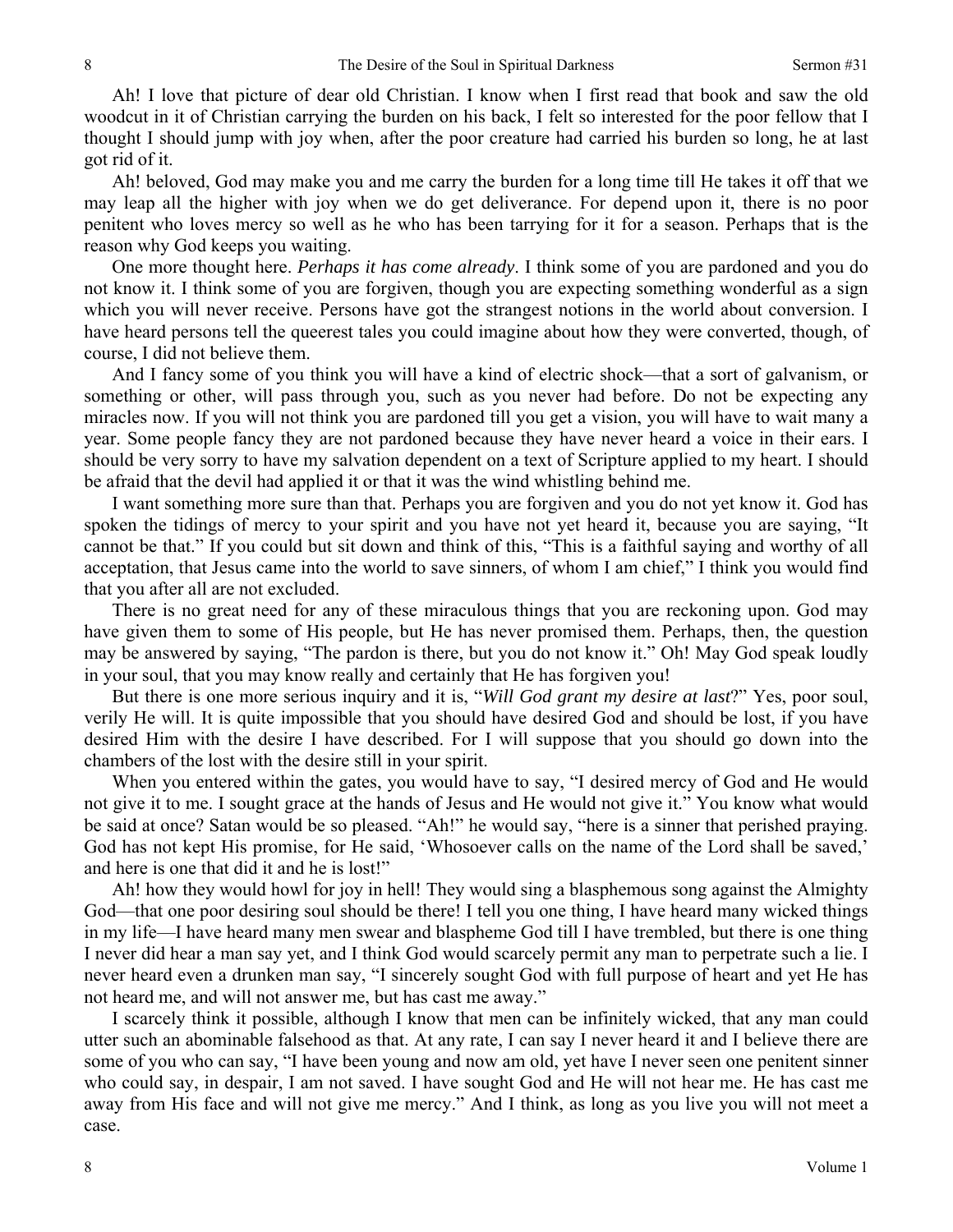Ah! I love that picture of dear old Christian. I know when I first read that book and saw the old woodcut in it of Christian carrying the burden on his back, I felt so interested for the poor fellow that I thought I should jump with joy when, after the poor creature had carried his burden so long, he at last got rid of it.

Ah! beloved, God may make you and me carry the burden for a long time till He takes it off that we may leap all the higher with joy when we do get deliverance. For depend upon it, there is no poor penitent who loves mercy so well as he who has been tarrying for it for a season. Perhaps that is the reason why God keeps you waiting.

One more thought here. *Perhaps it has come already*. I think some of you are pardoned and you do not know it. I think some of you are forgiven, though you are expecting something wonderful as a sign which you will never receive. Persons have got the strangest notions in the world about conversion. I have heard persons tell the queerest tales you could imagine about how they were converted, though, of course, I did not believe them.

And I fancy some of you think you will have a kind of electric shock—that a sort of galvanism, or something or other, will pass through you, such as you never had before. Do not be expecting any miracles now. If you will not think you are pardoned till you get a vision, you will have to wait many a year. Some people fancy they are not pardoned because they have never heard a voice in their ears. I should be very sorry to have my salvation dependent on a text of Scripture applied to my heart. I should be afraid that the devil had applied it or that it was the wind whistling behind me.

I want something more sure than that. Perhaps you are forgiven and you do not yet know it. God has spoken the tidings of mercy to your spirit and you have not yet heard it, because you are saying, "It cannot be that." If you could but sit down and think of this, "This is a faithful saying and worthy of all acceptation, that Jesus came into the world to save sinners, of whom I am chief," I think you would find that you after all are not excluded.

There is no great need for any of these miraculous things that you are reckoning upon. God may have given them to some of His people, but He has never promised them. Perhaps, then, the question may be answered by saying, "The pardon is there, but you do not know it." Oh! May God speak loudly in your soul, that you may know really and certainly that He has forgiven you!

But there is one more serious inquiry and it is, "*Will God grant my desire at last*?" Yes, poor soul, verily He will. It is quite impossible that you should have desired God and should be lost, if you have desired Him with the desire I have described. For I will suppose that you should go down into the chambers of the lost with the desire still in your spirit.

When you entered within the gates, you would have to say, "I desired mercy of God and He would not give it to me. I sought grace at the hands of Jesus and He would not give it." You know what would be said at once? Satan would be so pleased. "Ah!" he would say, "here is a sinner that perished praying. God has not kept His promise, for He said, 'Whosoever calls on the name of the Lord shall be saved,' and here is one that did it and he is lost!"

Ah! how they would howl for joy in hell! They would sing a blasphemous song against the Almighty God—that one poor desiring soul should be there! I tell you one thing, I have heard many wicked things in my life—I have heard many men swear and blaspheme God till I have trembled, but there is one thing I never did hear a man say yet, and I think God would scarcely permit any man to perpetrate such a lie. I never heard even a drunken man say, "I sincerely sought God with full purpose of heart and yet He has not heard me, and will not answer me, but has cast me away."

I scarcely think it possible, although I know that men can be infinitely wicked, that any man could utter such an abominable falsehood as that. At any rate, I can say I never heard it and I believe there are some of you who can say, "I have been young and now am old, yet have I never seen one penitent sinner who could say, in despair, I am not saved. I have sought God and He will not hear me. He has cast me away from His face and will not give me mercy." And I think, as long as you live you will not meet a case.